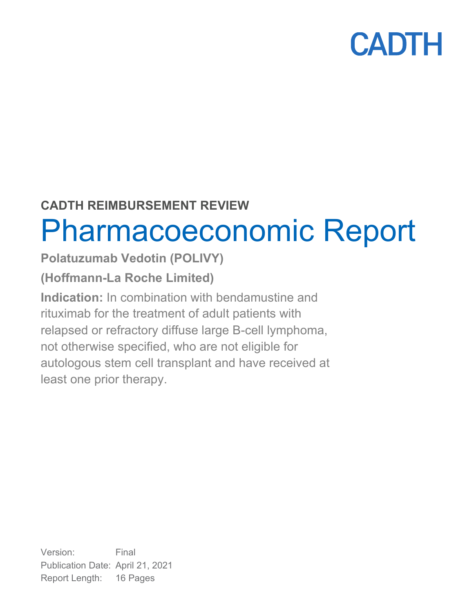## **CADTH REIMBURSEMENT REVIEW**

# Pharmacoeconomic Report

## **Polatuzumab Vedotin (POLIVY)**

## **(Hoffmann-La Roche Limited)**

**Indication:** In combination with bendamustine and rituximab for the treatment of adult patients with relapsed or refractory diffuse large B-cell lymphoma, not otherwise specified, who are not eligible for autologous stem cell transplant and have received at least one prior therapy.

Version: Final Publication Date: April 21, 2021 Report Length: 16 Pages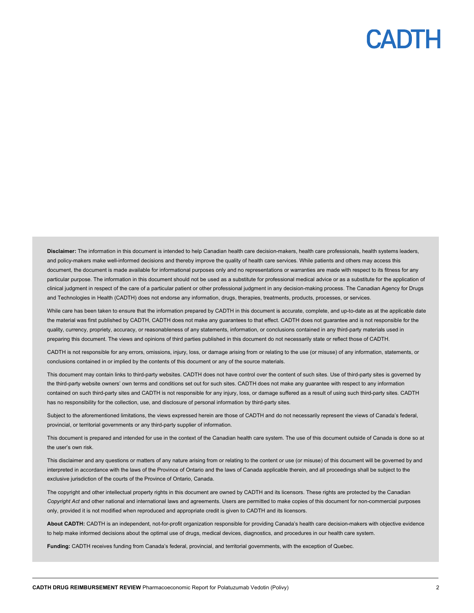**Disclaimer:** The information in this document is intended to help Canadian health care decision-makers, health care professionals, health systems leaders, and policy-makers make well-informed decisions and thereby improve the quality of health care services. While patients and others may access this document, the document is made available for informational purposes only and no representations or warranties are made with respect to its fitness for any particular purpose. The information in this document should not be used as a substitute for professional medical advice or as a substitute for the application of clinical judgment in respect of the care of a particular patient or other professional judgment in any decision-making process. The Canadian Agency for Drugs and Technologies in Health (CADTH) does not endorse any information, drugs, therapies, treatments, products, processes, or services.

While care has been taken to ensure that the information prepared by CADTH in this document is accurate, complete, and up-to-date as at the applicable date the material was first published by CADTH, CADTH does not make any guarantees to that effect. CADTH does not guarantee and is not responsible for the quality, currency, propriety, accuracy, or reasonableness of any statements, information, or conclusions contained in any third-party materials used in preparing this document. The views and opinions of third parties published in this document do not necessarily state or reflect those of CADTH.

CADTH is not responsible for any errors, omissions, injury, loss, or damage arising from or relating to the use (or misuse) of any information, statements, or conclusions contained in or implied by the contents of this document or any of the source materials.

This document may contain links to third-party websites. CADTH does not have control over the content of such sites. Use of third-party sites is governed by the third-party website owners' own terms and conditions set out for such sites. CADTH does not make any guarantee with respect to any information contained on such third-party sites and CADTH is not responsible for any injury, loss, or damage suffered as a result of using such third-party sites. CADTH has no responsibility for the collection, use, and disclosure of personal information by third-party sites.

Subject to the aforementioned limitations, the views expressed herein are those of CADTH and do not necessarily represent the views of Canada's federal, provincial, or territorial governments or any third-party supplier of information.

This document is prepared and intended for use in the context of the Canadian health care system. The use of this document outside of Canada is done so at the user's own risk.

This disclaimer and any questions or matters of any nature arising from or relating to the content or use (or misuse) of this document will be governed by and interpreted in accordance with the laws of the Province of Ontario and the laws of Canada applicable therein, and all proceedings shall be subject to the exclusive jurisdiction of the courts of the Province of Ontario, Canada.

The copyright and other intellectual property rights in this document are owned by CADTH and its licensors. These rights are protected by the Canadian *Copyright Act* and other national and international laws and agreements. Users are permitted to make copies of this document for non-commercial purposes only, provided it is not modified when reproduced and appropriate credit is given to CADTH and its licensors.

**About CADTH:** CADTH is an independent, not-for-profit organization responsible for providing Canada's health care decision-makers with objective evidence to help make informed decisions about the optimal use of drugs, medical devices, diagnostics, and procedures in our health care system.

**Funding:** CADTH receives funding from Canada's federal, provincial, and territorial governments, with the exception of Quebec.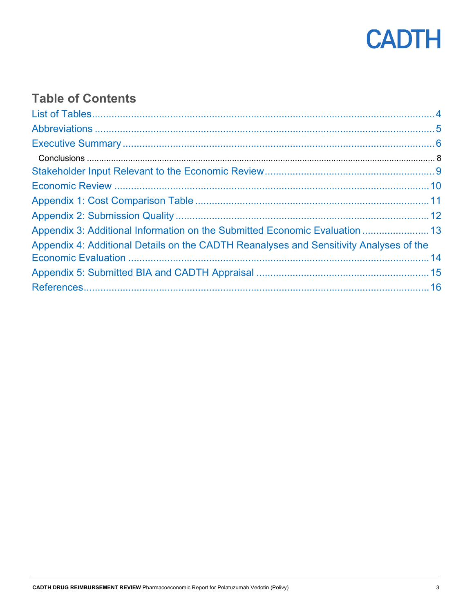

## **Table of Contents**

| Appendix 3: Additional Information on the Submitted Economic Evaluation  13            |
|----------------------------------------------------------------------------------------|
| Appendix 4: Additional Details on the CADTH Reanalyses and Sensitivity Analyses of the |
|                                                                                        |
|                                                                                        |
|                                                                                        |
|                                                                                        |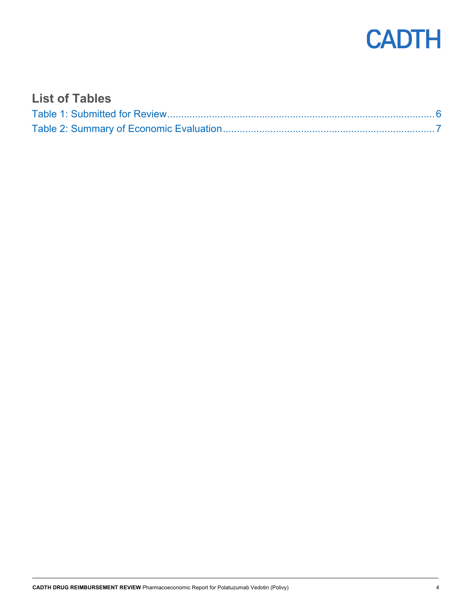

### <span id="page-3-0"></span>**List of Tables**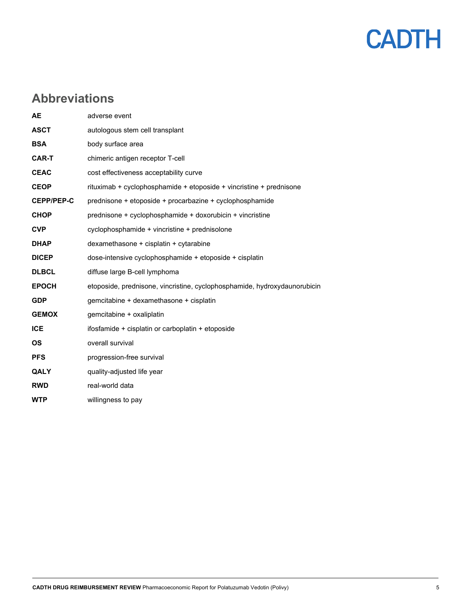

### <span id="page-4-0"></span>**Abbreviations**

| <b>AE</b>         | adverse event                                                             |
|-------------------|---------------------------------------------------------------------------|
| <b>ASCT</b>       | autologous stem cell transplant                                           |
| <b>BSA</b>        | body surface area                                                         |
| <b>CAR-T</b>      | chimeric antigen receptor T-cell                                          |
| <b>CEAC</b>       | cost effectiveness acceptability curve                                    |
| <b>CEOP</b>       | rituximab + cyclophosphamide + etoposide + vincristine + prednisone       |
| <b>CEPP/PEP-C</b> | prednisone + etoposide + procarbazine + cyclophosphamide                  |
| <b>CHOP</b>       | prednisone + cyclophosphamide + doxorubicin + vincristine                 |
| <b>CVP</b>        | cyclophosphamide + vincristine + prednisolone                             |
| <b>DHAP</b>       | dexamethasone + cisplatin + cytarabine                                    |
| <b>DICEP</b>      | dose-intensive cyclophosphamide + etoposide + cisplatin                   |
| <b>DLBCL</b>      | diffuse large B-cell lymphoma                                             |
| <b>EPOCH</b>      | etoposide, prednisone, vincristine, cyclophosphamide, hydroxydaunorubicin |
| <b>GDP</b>        | gemcitabine + dexamethasone + cisplatin                                   |
| <b>GEMOX</b>      | gemcitabine + oxaliplatin                                                 |
| <b>ICE</b>        | ifosfamide + cisplatin or carboplatin + etoposide                         |
| <b>OS</b>         | overall survival                                                          |
| <b>PFS</b>        | progression-free survival                                                 |
| QALY              | quality-adjusted life year                                                |
| <b>RWD</b>        | real-world data                                                           |
| <b>WTP</b>        | willingness to pay                                                        |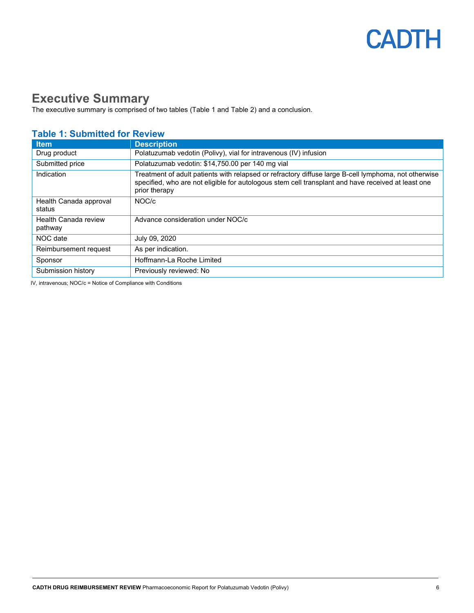### <span id="page-5-0"></span>**Executive Summary**

The executive summary is comprised of two tables [\(Table 1](#page-5-1) and [Table 2\)](#page-6-0) and a conclusion.

#### **Item Description** Drug product **Polatuzumab vedotin (Polivy), vial for intravenous (IV) infusion** Submitted price **Polatuzumab vedotin: \$14,750.00 per 140 mg vial** Indication **Treatment of adult patients with relapsed or refractory diffuse large B-cell lymphoma, not otherwise** specified, who are not eligible for autologous stem cell transplant and have received at least one prior therapy Health Canada approval status NOC/c Health Canada review pathway Advance consideration under NOC/c NOC date July 09, 2020 Reimbursement request  $\blacksquare$  As per indication. Sponsor | Hoffmann-La Roche Limited Submission history **Previously reviewed: No**

#### <span id="page-5-1"></span>**Table 1: Submitted for Review**

IV, intravenous; NOC/c = Notice of Compliance with Conditions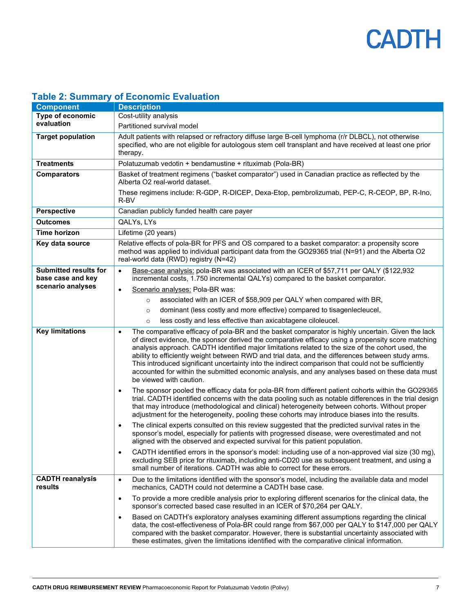| $\frac{1}{2}$                                     |                                                                                                                                                                                                                                                                                                                                                                                                                                                                                                                                                                                                                                                                     |
|---------------------------------------------------|---------------------------------------------------------------------------------------------------------------------------------------------------------------------------------------------------------------------------------------------------------------------------------------------------------------------------------------------------------------------------------------------------------------------------------------------------------------------------------------------------------------------------------------------------------------------------------------------------------------------------------------------------------------------|
| <b>Component</b>                                  | <b>Description</b>                                                                                                                                                                                                                                                                                                                                                                                                                                                                                                                                                                                                                                                  |
| Type of economic<br>evaluation                    | Cost-utility analysis                                                                                                                                                                                                                                                                                                                                                                                                                                                                                                                                                                                                                                               |
|                                                   | Partitioned survival model                                                                                                                                                                                                                                                                                                                                                                                                                                                                                                                                                                                                                                          |
| <b>Target population</b>                          | Adult patients with relapsed or refractory diffuse large B-cell lymphoma (r/r DLBCL), not otherwise<br>specified, who are not eligible for autologous stem cell transplant and have received at least one prior<br>therapy.                                                                                                                                                                                                                                                                                                                                                                                                                                         |
| <b>Treatments</b>                                 | Polatuzumab vedotin + bendamustine + rituximab (Pola-BR)                                                                                                                                                                                                                                                                                                                                                                                                                                                                                                                                                                                                            |
| <b>Comparators</b>                                | Basket of treatment regimens ("basket comparator") used in Canadian practice as reflected by the<br>Alberta O2 real-world dataset.                                                                                                                                                                                                                                                                                                                                                                                                                                                                                                                                  |
|                                                   | These regimens include: R-GDP, R-DICEP, Dexa-Etop, pembrolizumab, PEP-C, R-CEOP, BP, R-Ino,<br>R-BV                                                                                                                                                                                                                                                                                                                                                                                                                                                                                                                                                                 |
| <b>Perspective</b>                                | Canadian publicly funded health care payer                                                                                                                                                                                                                                                                                                                                                                                                                                                                                                                                                                                                                          |
| <b>Outcomes</b>                                   | QALYs, LYs                                                                                                                                                                                                                                                                                                                                                                                                                                                                                                                                                                                                                                                          |
| <b>Time horizon</b>                               | Lifetime (20 years)                                                                                                                                                                                                                                                                                                                                                                                                                                                                                                                                                                                                                                                 |
| Key data source                                   | Relative effects of pola-BR for PFS and OS compared to a basket comparator: a propensity score<br>method was applied to individual participant data from the GO29365 trial (N=91) and the Alberta O2<br>real-world data (RWD) registry (N=42)                                                                                                                                                                                                                                                                                                                                                                                                                       |
| <b>Submitted results for</b><br>base case and key | Base-case analysis: pola-BR was associated with an ICER of \$57,711 per QALY (\$122,932<br>$\bullet$<br>incremental costs, 1.750 incremental QALYs) compared to the basket comparator.                                                                                                                                                                                                                                                                                                                                                                                                                                                                              |
| scenario analyses                                 | Scenario analyses: Pola-BR was:<br>$\bullet$                                                                                                                                                                                                                                                                                                                                                                                                                                                                                                                                                                                                                        |
|                                                   | associated with an ICER of \$58,909 per QALY when compared with BR,<br>$\circ$                                                                                                                                                                                                                                                                                                                                                                                                                                                                                                                                                                                      |
|                                                   | dominant (less costly and more effective) compared to tisagenlecleucel,<br>$\circ$                                                                                                                                                                                                                                                                                                                                                                                                                                                                                                                                                                                  |
|                                                   | less costly and less effective than axicabtagene ciloleucel.<br>$\circ$                                                                                                                                                                                                                                                                                                                                                                                                                                                                                                                                                                                             |
| <b>Key limitations</b>                            | The comparative efficacy of pola-BR and the basket comparator is highly uncertain. Given the lack<br>$\bullet$<br>of direct evidence, the sponsor derived the comparative efficacy using a propensity score matching<br>analysis approach. CADTH identified major limitations related to the size of the cohort used, the<br>ability to efficiently weight between RWD and trial data, and the differences between study arms.<br>This introduced significant uncertainty into the indirect comparison that could not be sufficiently<br>accounted for within the submitted economic analysis, and any analyses based on these data must<br>be viewed with caution. |
|                                                   | The sponsor pooled the efficacy data for pola-BR from different patient cohorts within the GO29365<br>$\bullet$<br>trial. CADTH identified concerns with the data pooling such as notable differences in the trial design<br>that may introduce (methodological and clinical) heterogeneity between cohorts. Without proper<br>adjustment for the heterogeneity, pooling these cohorts may introduce biases into the results.                                                                                                                                                                                                                                       |
|                                                   | The clinical experts consulted on this review suggested that the predicted survival rates in the<br>$\bullet$<br>sponsor's model, especially for patients with progressed disease, were overestimated and not<br>aligned with the observed and expected survival for this patient population.                                                                                                                                                                                                                                                                                                                                                                       |
|                                                   | CADTH identified errors in the sponsor's model: including use of a non-approved vial size (30 mg),<br>$\bullet$<br>excluding SEB price for rituximab, including anti-CD20 use as subsequent treatment, and using a<br>small number of iterations. CADTH was able to correct for these errors.                                                                                                                                                                                                                                                                                                                                                                       |
| <b>CADTH reanalysis</b><br>results                | Due to the limitations identified with the sponsor's model, including the available data and model<br>$\bullet$<br>mechanics, CADTH could not determine a CADTH base case.                                                                                                                                                                                                                                                                                                                                                                                                                                                                                          |
|                                                   | To provide a more credible analysis prior to exploring different scenarios for the clinical data, the<br>$\bullet$<br>sponsor's corrected based case resulted in an ICER of \$70,264 per QALY.                                                                                                                                                                                                                                                                                                                                                                                                                                                                      |
|                                                   | Based on CADTH's exploratory analyses examining different assumptions regarding the clinical<br>data, the cost-effectiveness of Pola-BR could range from \$67,000 per QALY to \$147,000 per QALY<br>compared with the basket comparator. However, there is substantial uncertainty associated with<br>these estimates, given the limitations identified with the comparative clinical information.                                                                                                                                                                                                                                                                  |

#### <span id="page-6-0"></span>**Table 2: Summary of Economic Evaluation**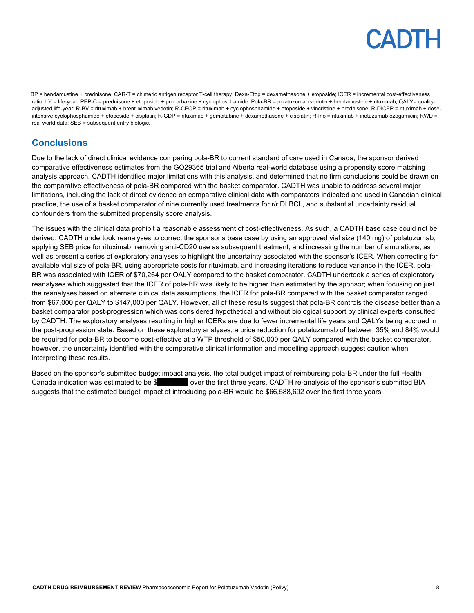BP = bendamustine + prednisone; CAR-T = chimeric antigen receptor T-cell therapy; Dexa-Etop = dexamethasone + etoposide; ICER = incremental cost-effectiveness ratio; LY = life-year; PEP-C = prednisone + etoposide + procarbazine + cyclophosphamide; Pola-BR = polatuzumab vedotin + bendamustine + rituximab; QALY= qualityadjusted life-year; R-BV = rituximab + brentuximab vedotin; R-CEOP = rituximab + cyclophosphamide + etoposide + vincristine + prednisone; R-DICEP = rituximab + doseintensive cyclophosphamide + etoposide + cisplatin; R-GDP = rituximab + gemcitabine + dexamethasone + cisplatin; R-Ino = rituximab + inotuzumab ozogamicin; RWD = real world data; SEB = subsequent entry biologic.

#### <span id="page-7-0"></span>**Conclusions**

Due to the lack of direct clinical evidence comparing pola-BR to current standard of care used in Canada, the sponsor derived comparative effectiveness estimates from the GO29365 trial and Alberta real-world database using a propensity score matching analysis approach. CADTH identified major limitations with this analysis, and determined that no firm conclusions could be drawn on the comparative effectiveness of pola-BR compared with the basket comparator. CADTH was unable to address several major limitations, including the lack of direct evidence on comparative clinical data with comparators indicated and used in Canadian clinical practice, the use of a basket comparator of nine currently used treatments for r/r DLBCL, and substantial uncertainty residual confounders from the submitted propensity score analysis.

The issues with the clinical data prohibit a reasonable assessment of cost-effectiveness. As such, a CADTH base case could not be derived. CADTH undertook reanalyses to correct the sponsor's base case by using an approved vial size (140 mg) of polatuzumab, applying SEB price for rituximab, removing anti-CD20 use as subsequent treatment, and increasing the number of simulations, as well as present a series of exploratory analyses to highlight the uncertainty associated with the sponsor's ICER. When correcting for available vial size of pola-BR, using appropriate costs for rituximab, and increasing iterations to reduce variance in the ICER, pola-BR was associated with ICER of \$70,264 per QALY compared to the basket comparator. CADTH undertook a series of exploratory reanalyses which suggested that the ICER of pola-BR was likely to be higher than estimated by the sponsor; when focusing on just the reanalyses based on alternate clinical data assumptions, the ICER for pola-BR compared with the basket comparator ranged from \$67,000 per QALY to \$147,000 per QALY. However, all of these results suggest that pola-BR controls the disease better than a basket comparator post-progression which was considered hypothetical and without biological support by clinical experts consulted by CADTH. The exploratory analyses resulting in higher ICERs are due to fewer incremental life years and QALYs being accrued in the post-progression state. Based on these exploratory analyses, a price reduction for polatuzumab of between 35% and 84% would be required for pola-BR to become cost-effective at a WTP threshold of \$50,000 per QALY compared with the basket comparator, however, the uncertainty identified with the comparative clinical information and modelling approach suggest caution when interpreting these results.

Based on the sponsor's submitted budget impact analysis, the total budget impact of reimbursing pola-BR under the full Health Canada indication was estimated to be \$ over the first three years. CADTH re-analysis of the sponsor's submitted BIA suggests that the estimated budget impact of introducing pola-BR would be \$66,588,692 over the first three years.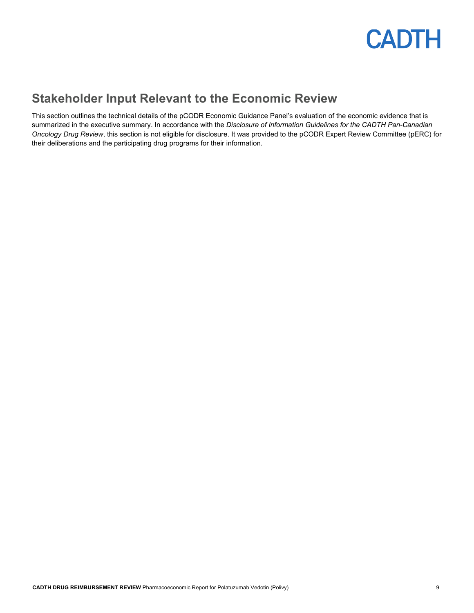

### <span id="page-8-0"></span>**Stakeholder Input Relevant to the Economic Review**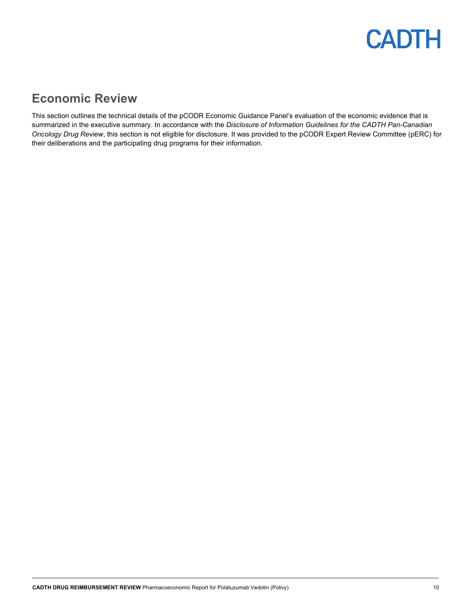### <span id="page-9-0"></span>**Economic Review**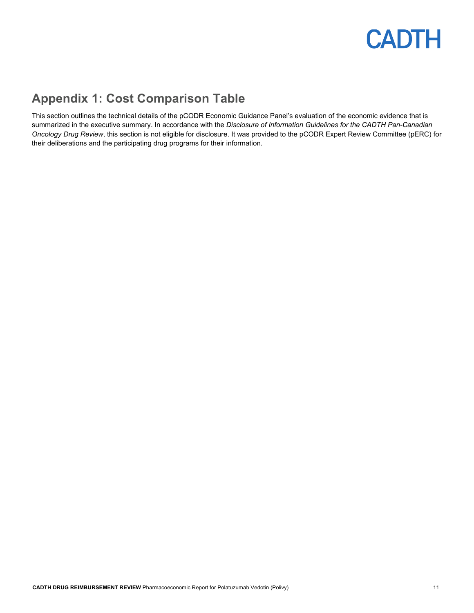## <span id="page-10-0"></span>**Appendix 1: Cost Comparison Table**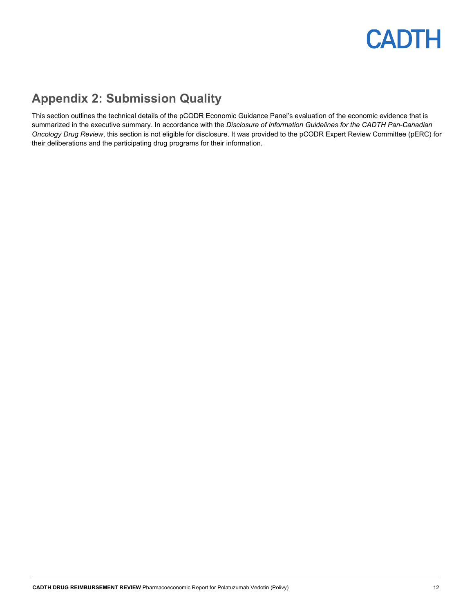## <span id="page-11-0"></span>**Appendix 2: Submission Quality**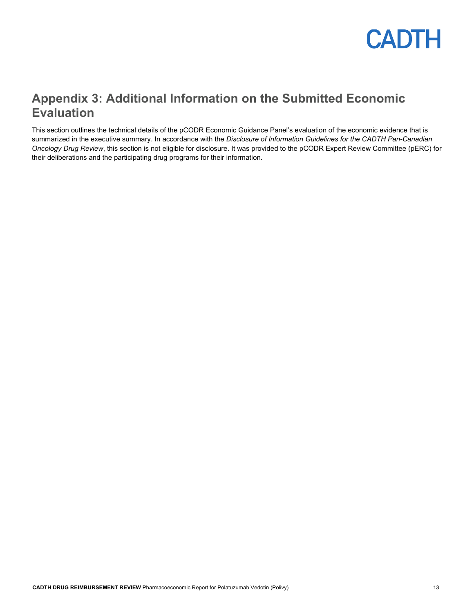

### <span id="page-12-0"></span>**Appendix 3: Additional Information on the Submitted Economic Evaluation**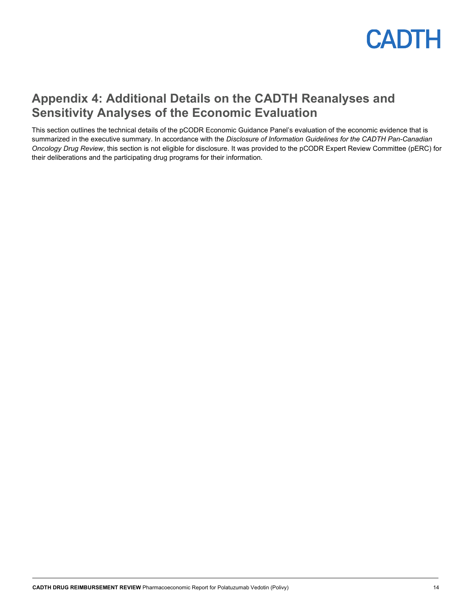

### <span id="page-13-0"></span>**Appendix 4: Additional Details on the CADTH Reanalyses and Sensitivity Analyses of the Economic Evaluation**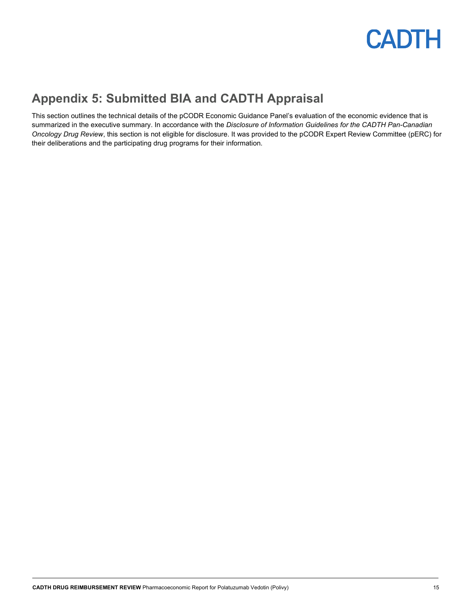

### <span id="page-14-0"></span>**Appendix 5: Submitted BIA and CADTH Appraisal**